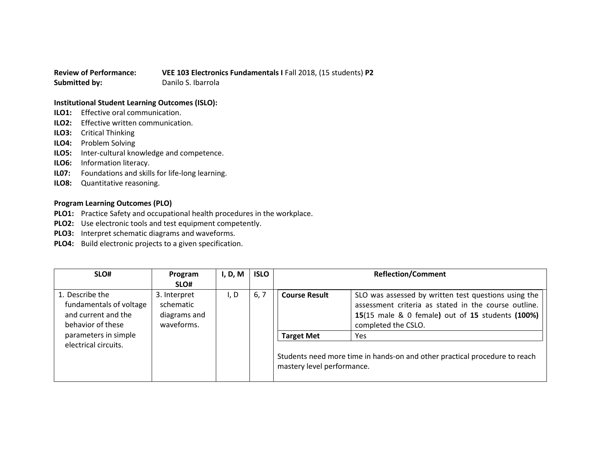## **Review of Performance: VEE 103 Electronics Fundamentals I** Fall 2018, (15 students) **P2 Submitted by:** Danilo S. Ibarrola

## **Institutional Student Learning Outcomes (ISLO):**

- **ILO1:** Effective oral communication.
- **ILO2:** Effective written communication.
- **ILO3:** Critical Thinking
- **ILO4:** Problem Solving
- **ILO5:** Inter-cultural knowledge and competence.
- **ILO6:** Information literacy.
- **IL07:** Foundations and skills for life-long learning.
- **ILO8:** Quantitative reasoning.

## **Program Learning Outcomes (PLO)**

- **PLO1:** Practice Safety and occupational health procedures in the workplace.
- **PLO2:** Use electronic tools and test equipment competently.
- **PLO3:** Interpret schematic diagrams and waveforms.
- **PLO4:** Build electronic projects to a given specification.

| SLO#                                                                                   | Program<br>SLO#                                         | I, D, M | <b>ISLO</b> | <b>Reflection/Comment</b>                       |                                                                                                                                                                                         |
|----------------------------------------------------------------------------------------|---------------------------------------------------------|---------|-------------|-------------------------------------------------|-----------------------------------------------------------------------------------------------------------------------------------------------------------------------------------------|
| 1. Describe the<br>fundamentals of voltage<br>and current and the<br>behavior of these | 3. Interpret<br>schematic<br>diagrams and<br>waveforms. | I, D    | 6, 7        | <b>Course Result</b>                            | SLO was assessed by written test questions using the<br>assessment criteria as stated in the course outline.<br>15(15 male & 0 female) out of 15 students (100%)<br>completed the CSLO. |
| parameters in simple<br>electrical circuits.                                           |                                                         |         |             | <b>Target Met</b><br>mastery level performance. | Yes<br>Students need more time in hands-on and other practical procedure to reach                                                                                                       |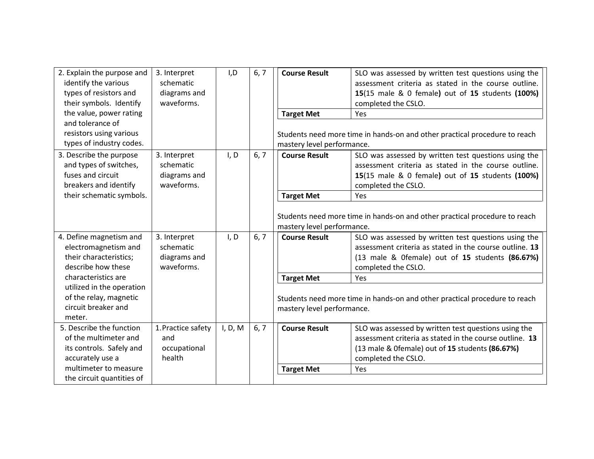| 6, 7<br>3. Interpret<br><b>Course Result</b><br>2. Explain the purpose and<br>I, D<br>SLO was assessed by written test questions using the<br>identify the various<br>assessment criteria as stated in the course outline.<br>schematic<br>types of resistors and<br>diagrams and<br>15(15 male & 0 female) out of 15 students (100%)<br>their symbols. Identify<br>waveforms.<br>completed the CSLO.<br>the value, power rating<br><b>Target Met</b><br>Yes |  |
|--------------------------------------------------------------------------------------------------------------------------------------------------------------------------------------------------------------------------------------------------------------------------------------------------------------------------------------------------------------------------------------------------------------------------------------------------------------|--|
| and tolerance of<br>resistors using various<br>Students need more time in hands-on and other practical procedure to reach<br>types of industry codes.<br>mastery level performance.                                                                                                                                                                                                                                                                          |  |
| 3. Describe the purpose<br>3. Interpret<br>I, D<br>6, 7<br><b>Course Result</b><br>SLO was assessed by written test questions using the<br>and types of switches,<br>schematic<br>assessment criteria as stated in the course outline.<br>fuses and circuit<br>diagrams and<br>15(15 male & 0 female) out of 15 students (100%)<br>breakers and identify<br>waveforms.<br>completed the CSLO.                                                                |  |
| their schematic symbols.<br><b>Target Met</b><br>Yes                                                                                                                                                                                                                                                                                                                                                                                                         |  |
| Students need more time in hands-on and other practical procedure to reach<br>mastery level performance.                                                                                                                                                                                                                                                                                                                                                     |  |
| 4. Define magnetism and<br>3. Interpret<br>I, D<br>6, 7<br>SLO was assessed by written test questions using the<br><b>Course Result</b><br>schematic<br>electromagnetism and<br>assessment criteria as stated in the course outline. 13<br>their characteristics;<br>diagrams and<br>(13 male & Ofemale) out of 15 students (86.67%)<br>describe how these<br>waveforms.<br>completed the CSLO.                                                              |  |
| characteristics are<br><b>Target Met</b><br>Yes                                                                                                                                                                                                                                                                                                                                                                                                              |  |
| utilized in the operation<br>of the relay, magnetic<br>Students need more time in hands-on and other practical procedure to reach<br>circuit breaker and<br>mastery level performance.<br>meter.                                                                                                                                                                                                                                                             |  |
| 5. Describe the function<br>1. Practice safety<br>6, 7<br>I, D, M<br><b>Course Result</b><br>SLO was assessed by written test questions using the<br>assessment criteria as stated in the course outline. 13<br>of the multimeter and<br>and<br>its controls. Safely and<br>occupational<br>(13 male & Ofemale) out of 15 students (86.67%)<br>health<br>accurately use a<br>completed the CSLO.                                                             |  |
| multimeter to measure<br><b>Target Met</b><br>Yes<br>the circuit quantities of                                                                                                                                                                                                                                                                                                                                                                               |  |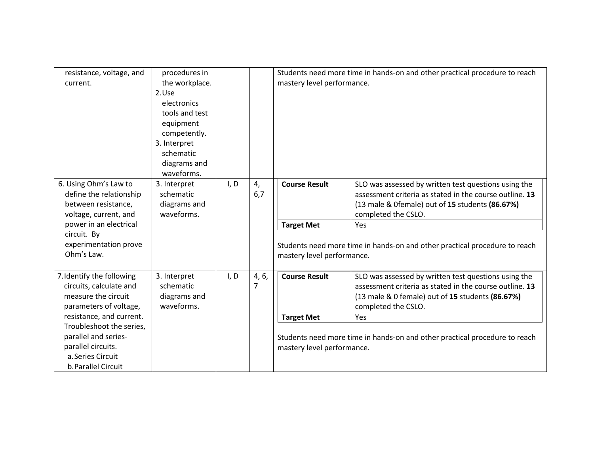| resistance, voltage, and<br>current.                                                                                                                                             | procedures in<br>the workplace.<br>2.Use<br>electronics<br>tools and test<br>equipment<br>competently.<br>3. Interpret<br>schematic<br>diagrams and<br>waveforms. |      |            | mastery level performance.                                                                               | Students need more time in hands-on and other practical procedure to reach                                                                                                                                                                                                     |  |
|----------------------------------------------------------------------------------------------------------------------------------------------------------------------------------|-------------------------------------------------------------------------------------------------------------------------------------------------------------------|------|------------|----------------------------------------------------------------------------------------------------------|--------------------------------------------------------------------------------------------------------------------------------------------------------------------------------------------------------------------------------------------------------------------------------|--|
| 6. Using Ohm's Law to<br>define the relationship<br>between resistance,<br>voltage, current, and<br>power in an electrical<br>circuit. By<br>experimentation prove<br>Ohm's Law. | 3. Interpret<br>schematic<br>diagrams and<br>waveforms.                                                                                                           | I, D | 4,<br>6,7  | <b>Course Result</b><br><b>Target Met</b><br>mastery level performance.                                  | SLO was assessed by written test questions using the<br>assessment criteria as stated in the course outline. 13<br>(13 male & Ofemale) out of 15 students (86.67%)<br>completed the CSLO.<br>Yes<br>Students need more time in hands-on and other practical procedure to reach |  |
| 7. Identify the following<br>circuits, calculate and<br>measure the circuit<br>parameters of voltage,<br>resistance, and current.                                                | 3. Interpret<br>schematic<br>diagrams and<br>waveforms.                                                                                                           | I, D | 4, 6,<br>7 | <b>Course Result</b><br><b>Target Met</b>                                                                | SLO was assessed by written test questions using the<br>assessment criteria as stated in the course outline. 13<br>(13 male & 0 female) out of 15 students (86.67%)<br>completed the CSLO.<br>Yes                                                                              |  |
| Troubleshoot the series,<br>parallel and series-<br>parallel circuits.<br>a. Series Circuit<br>b. Parallel Circuit                                                               |                                                                                                                                                                   |      |            | Students need more time in hands-on and other practical procedure to reach<br>mastery level performance. |                                                                                                                                                                                                                                                                                |  |